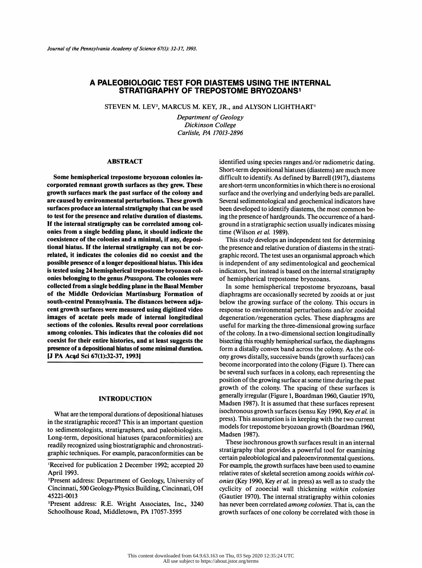# A PALEOBIOLOGIO TEST FOR DIASTEMS USING THE INTERNAL STRATIGRAPHY OF TREPOSTOME BRYOZOANS1

STEVEN M. LEV<sup>2</sup>, MARCUS M. KEY, JR., and ALYSON LIGHTHART<sup>3</sup>

 Department of Geology Dickinson College Carlisle, PA 17013-2896

## ABSTRACT

 Some hemispherical trepostome bryozoan colonies in corporated remnant growth surfaces as they grew. These growth surfaces mark the past surface of the colony and are caused by environmental perturbations. These growth surfaces produce an internal stratigraphy that can be used to test for the presence and relative duration of diastems. If the internal stratigraphy can be correlated among col onies from a single bedding plane, it should indicate the coexistence of the colonies and a minimal, if any, deposi tional hiatus. If the internal stratigraphy can not be cor related, it indicates the colonies did no coexist and the possible presence of a longer depositional hiatus. This idea is tested using 24 hemispherical trepostome bryozoan col onies belonging to the genus *Prasopora*. The colonies were collected from a single bedding plane in the Basal Member of the Middle Ordovician Martinsburg Formation of south-central Pennsylvania. The distances between adja cent growth surfaces were measured using digitized video images of acetate peels made of internal longitudinal sections of the colonies. Results reveal poor correlations among colonies. This indicates that the colonies did not coexist for their entire histories, and at least suggests the presence of a depositional hiatus of some minimal duration. [J PA Acąd Sci 67(l):32-37, 1993]

#### INTRODUCTION

 What are the temporal durations of depositional hiatuses in the stratigraphie record? This is an important question to sedimentologists, stratigraphers, and paleobiologists. Long-term, depositional hiatuses (paraconformities) are readily recognized using biostratigraphic and chronostrati graphic techniques. For example, paraconformities can be

 identified using species ranges and/or radiometric dating. Short-term depositional hiatuses (diastems) are much more difficult to identify. As defined by Barrell (1917), diastems are short-term unconformities in which there is no erosional surface and the overlying and underlying beds are parallel. Several sedimentological and geochemical indicators have been developed to identify diastems, the most common be ing the presence of hardgrounds. The occurrence of a hard ground in a stratigraphie section usually indicates missing time (Wilson et al. 1989).

 This study develops an independent test for determining the presence and relative duration of diastems in the strati graphic record. The test uses an organismal approach which is independent of any sedimentological and geochemical indicators, but instead is based on the internal stratigraphy of hemispherical trepostome bryozoans.

 In some hemispherical trepostome bryozoans, basal diaphragms are occasionally secreted by zooids at or just below the growing surface of the colony. This occurs in response to environmental perturbations and/or zooidal degeneration/regeneration cycles. These diaphragms are useful for marking the three-dimensional growing surface of the colony. In a two-dimensional section longitudinally bisecting this roughly hemispherical surface, the diaphragms form a distally convex band across the colony. As the col ony grows distally, successive bands (growth surfaces) can become incorporated into the colony (Figure 1). There can be several such surfaces in a colony, each representing the position of the growing surface at some time during the past growth of the colony. The spacing of these surfaces is generally irregular (Figure 1, Boardman 1960, Gautier 1970, Madsen 1987). It is assumed that these surfaces represent isochronous growth surfaces (sensu Key 1990, Key et al. in press). This assumption is in keeping with the two current models for trepostome bryozoan growth (Boardman 1960, Madsen 1987).

 These isochronous growth surfaces result in an internal stratigraphy that provides a powerful tool for examining certain paleobiological and paleoenvironmental questions. For example, the growth surfaces have been used to examine relative rates of skeletal secretion among zooids within col onies (Key 1990, Key et al. in press) as well as to study the cyclicity of zooecial wall thickening within colonies (Gautier 1970). The internal stratigraphy within colonies has never been correlated *among colonies*. That is, can the growth surfaces of one colony be correlated with those in

<sup>&</sup>lt;sup>1</sup>Received for publication 2 December 1992; accepted 20 April 1993.

 <sup>2</sup>Present address: Department of Geology, University of Cincinnati, 500 Geology-Physics Building, Cincinnati, OH 45221-0013

 <sup>3</sup>Present address: R.E. Wright Associates, Inc., 3240 Schoolhouse Road, Middletown, PA 17057-3595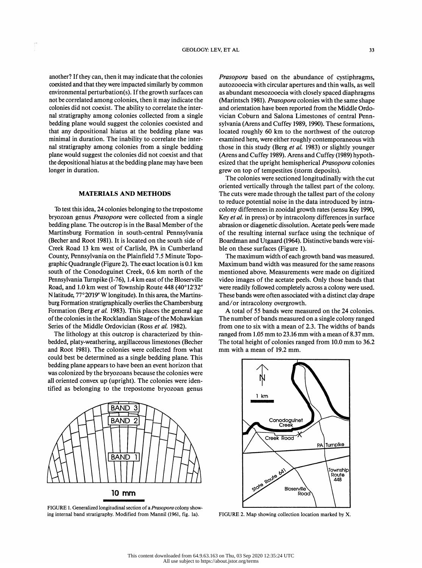another? If they can, then it may indicate that the colonies not be correlated among colonies, then it may indicate the colonies did not coexist. The ability to correlate the inter-<br>nal stratigraphy among colonies collected from a single the depositional hiatus at the bedding plane may have been<br>longer in duration.

## MATERIALS AND METHODS

 To test this idea, 24 colonies belonging to the trepostome bryozoan genus Prasopora were collected from a single bedding plane. The outcrop is in the Basal Member of the Martinsburg Formation in south-central Pennsylvania (Becher and Root 1981). It is located on the south side of Creek Road 13 km west of Carlisle, PA in Cumberland County, Pennsylvania on the Plainfield 7.5 Minute Topo graphic Quadrangle (Figure 2). The exact location is 0.1 km south of the Conodoguinet Creek, 0.6 km north of the Pennsylvania Turnpike (1-76), 1.4 km east of the Bloserville Road, and 1.0 km west of Township Route 448 (40°12'32" N latitude, 77°20'19" W longitude). In this area, the Martins burg Formation stratigraphically overlies the Chambersburg Formation (Berg et al. 1983). This places the general age of the colonies in the Rocklandian Stage of the Mohawkian Series of the Middle Ordovician (Ross et al. 1982).

 The lithology at this outcrop is characterized by thin bedded, platy-weathering, argillaceous limestones (Becher and Root 1981). The colonies were collected from what could best be determined as a single bedding plane. This bedding plane appears to have been an event horizon that was colonized by the bryozoans because the colonies were all oriented convex up (upright). The colonies were iden tified as belonging to the trepostome bryozoan genus  $\frac{1}{1}$  km



 FIGURE 1. Generalized longitudinal section of a Prasopora colony show ing internal band stratigraphy. Modified from Mannil (1961, fig. la).

another? If they can, then it may indicate that the colonies *Prasopora* based on the abundance of cystiphragms,<br>coexisted and that they were impacted similarly by common autozooecia with circular apertures and thin walls, coexisted and that they were impacted similarly by common autozooecia with circular apertures and thin walls, as well<br>environmental perturbation(s). If the growth surfaces can as abundant mesozooecia with closely spaced di environmental perturbation(s). If the growth surfaces can<br>not be correlated among colonies, then it may indicate the (Marintsch 1981). Prasopora colonies with the same shape<br>colonies did not cosmist. The obility to correla colonies did not coexist. The ability to correlate the inter-<br>
nal stratigraphy among colonies collected from a single vician Coburn and Salona Limestones of central Penn-<br>
hadding plane would suggest the colonies cognitie nal stratigraphy among colonies collected from a single vician Coburn and Salona Limestones of central Penn-<br>bedding plane would suggest the colonies coexisted and sylvania (Arens and Cuffey 1989, 1990). These formations,<br> bedding plane would suggest the colonies coexisted and<br>that any depositional hiatus at the bedding plane was located roughly 60 km to the northwest of the outcrop<br>minimal in duration. The inphility to correlate the inter that any depositional hiatus at the bedding plane was<br>
located roughly 60 km to the northwest of the outcrop<br>
minimal in duration. The inability to correlate the inter-<br>
examined here, were either roughly contemporaneous w minimal in duration. The inability to correlate the inter-<br>nal stratigraphy among colonies from a single bedding<br>name in this study (Berg *et al.* 1983) or slightly younger<br>name would suggest the solonies did not somist a nal stratigraphy among colonies from a single bedding those in this study (Berg *et al.* 1983) or slightly younger<br>plane would suggest the colonies did not coexist and that (Arens and Cuffey 1989). Arens and Cuffey (1989) plane would suggest the colonies did not coexist and that (Arens and Cuffey 1989). Arens and Cuffey (1989) hypoth-<br>the depositional hiatus at the bedding plane may have been esized that the upright hemispherical *Prasopora* Prasopora based on the abundance of cystiphragms, as abundant mesozooecia with closely spaced diaphragms and orientation have been reported from the Middle Ordo examined here, were either roughly contemporaneous with (Arenš and Cuffey 1989). Arenš and Cuffey (1989) hypoth grew on top of tempestites (storm deposits).

> The colonies were sectioned longitudinally with the cut oriented vertically through the tallest part of the colony. The cuts were made through the tallest part of the colony to reduce potential noise in the data introduced by intra colony differences in zooidal growth rates (sensu Key 1990, Key *et al.* in press) or by intracolony differences in surface abrasion or diagenetic dissolution. Acetate peels were made of the resulting internal surface using the technique of Boardman and Utgaard (1964). Distinctive bands were visi ble on these surfaces (Figure 1).

> The maximum width of each growth band was measured. Maximum band width was measured for the same reasons mentioned above. Measurements were made on digitized video images of the acetate peels. Only those bands that were readily followed completely across a colony were used. These bands were often associated with a distinct clay drape and/or intracolony overgrowth.

> A total of 55 bands were measured on the 24 colonies. The number of bands measured on a single colony ranged from one to six with a mean of 2.3. The widths of bands ranged from 1.05 mm to 23.16 mm with a mean of 8.37 mm. The total height of colonies ranged from 10.0 mm to 36.2 mm with a mean of 19.2 mm.



FIGURE 2. Map showing collection location marked by X.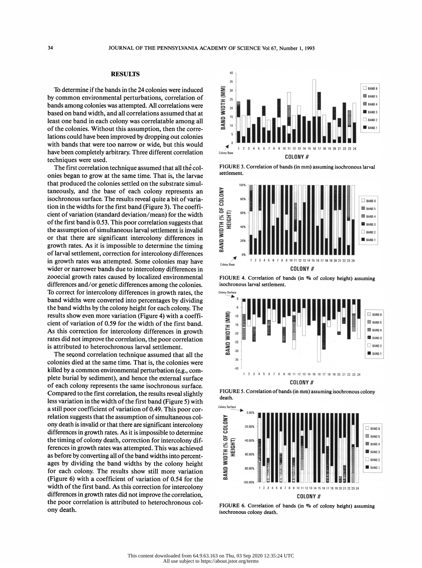## RESULTS

To determine if the bands in the 24 colonies were induced<br>
The common environmental perturbations, correlation of<br>
The same colonies was attempted. All correlations were<br>
seed on band width, and all correlations assumed t by common environmental perturbations, correlation of  $\Xi$ bands among colonies was attempted. All correlations were  $\overline{a}$ based on band width, and all correlations assumed that at  $\overline{\mathbf{a}}$ least one band in each colony was correlatable among all  $\overline{\mathbf{g}}$  of the colonies. Without this assumption, then the corre lations could have been improved by dropping out colonies with bands that were too narrow or wide, but this would have been completely arbitrary. Three different correlation techniques were used.

 The first correlation technique assumed that all thé col onies began to grow at the same time. That is, the larvae that produced the colonies settled on the substrate simul-<br>taneously, and the base of each colony represents an<br>isochronous surface. The results reveal quite a bit of varia-<br>tion in the widths for the first band (Figure 3 taneously, and the base of each colony represents an isochronous surface. The results reveal quite a bit of varia tion in the widths for the first band (Figure 3). The coeffi-<br>cient of variation (standard deviation/mean) for the width<br>of the first band is 0.53. This poor correlation suggests that<br>the assumption of simultaneous larged cient of variation (standard deviation/mean) for the width of the first band is 0.53. This poor correlation suggests that  $\overline{H} = \frac{10}{40}$  the assumption of simultaneous larval settlement is invalid or that there are significant intercolony differences in growth rates. As it is impossible to determine the timing of larval settlement, correction for intercolony differences in growth rates was attempted. Some colonies may have wider or narrower bands due to intercolony differences in zooecial growth rates caused by localized environmental differences and/or genetic differences among the colonies. isochro<br>To correct for intercolony differences in growth rates, the To correct for intercolony differences in growth rates, the band widths were converted into percentages by dividing<br>the band widths by the colony height for each colony. The the band widths by the colony height for each colony. The<br>results show even more variation (Figure 4) with a coeffi-<br>cient of variation of 0.59 for the width of the first band.<br>As this correction for intercolony differenc results show even more variation (Figure 4) with a coeffi cient of variation of 0.59 for the width of the first band.  $\overline{z}$ As this correction for intercolony differences in growth  $\overline{a}$ rates did not improve the correlation, the poor correlation  $\geq$ is attributed to heterochronous larval settlement.

The second correlation technique assumed that all the  $\frac{3}{100}$ colonies died at the same time. That is, the colonies were killed by a common environmental perturbation (e.g., com plete burial by sediment), and hence the external surface of each colony represents the same isochronous surface. Compared to the first correlation, the results reveal slightly less variation in the width of the first band (Figure 5) with<br>a still poor coofficient of variation of 0.40. This poor age a still poor coefficient of variation of 0.49. This poor correlation suggests that the assumption of simultaneous col-<br>ony death is invalid or that there are significant intercolony<br>differences in growth rates. As it is impossible to determine<br>the timing of colony death, correctio ony death is invalid or that there are significant intercolony  $\Box$  <sub>2000</sub> differences in growth rates. As it is impossible to determine<br>the timing of colony death, correction for intercolony dif-<br>ferences in growth rates was attempted. This was achieved<br>as before by converting all of the band w the timing of colony death, correction for intercolony differences in growth rates was attempted. This was achieved<br>as before by converting all of the band widths into persont as before by converting all of the band widths into percent ages by dividing the band widths by the colony height  $\sum_{\text{sol}^{(0)}$  for each colony. The results show still more variation (Figure 6) with a coefficient of variation of 0.54 for the  $\overrightarrow{ab}$  width of the first band. As this correction for intercolony differences in growth rates did not improve the correlation, the poor correlation is attributed to heterochronous col ony death.



 FIGURE 3. Correlation of bands (in mm) assuming isochronous larval settlement.



 FIGURE 4. Correlation of bands (in % of colony height) assuming isochronous larval settlement.



 FIGURE 5. Correlation of bands (in mm) assuming isochronous colony death.



 FIGURE 6. Correlation of bands (in % of colony height) assuming isochronous colony death.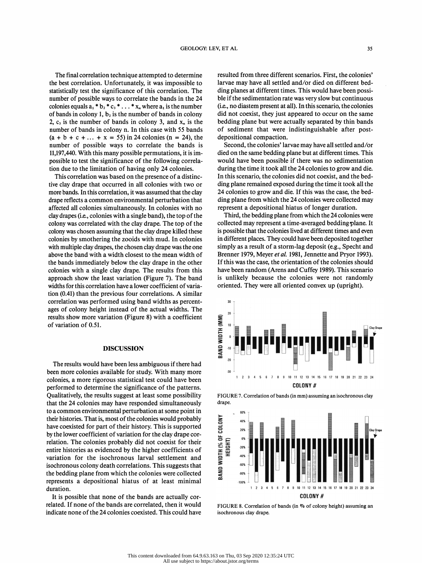The final correlation technique attempted to determine<br>the best correlation. Unfortunately, it was impossible to number of possible ways to correlate the bands in the 24 colonies equals  $a_1 * b_2 * c_3 * ... * x_n$  where  $a_1$  is the number of bands in colony 1,  $b_2$  is the number of bands in colony 2,  $c_3$  is the number of bands in colony 3, and  $x_n$  is the number of bands in colony n. In this case with 55 bands number of bands in colony n. In this case with 55 bands of sediment that were indistinguishable after post-<br>  $(a + b + c + ... + x = 55)$  in 24 colonies (n = 24), the depositional compaction.<br>
Second the colonies' large may have all  $(a + b + c + ... + x = 55)$  in 24 colonies (n = 24), the depositional compaction.<br>
number of possible ways to correlate the bands is Second, the colonies' larvae may have all settled and/or<br>
11.197.440 With this many possible permut

This correlation was based on the presence of a distinctive clay drape that occurred in all colonies with two or more bands. In this correlation, it was assumed that the clay drape reflects a common environmental perturbation that affected all colonies simultaneously. In colonies with no clay drapes (i.e., colonies with a single band), the top of the colony was chosen assuming that the clay drape killed these colonies by smothering the zooids with mud. In colonies with multiple clay drapes, the chosen clay drape was the one above the band with a width closest to the mean width of the bands immediately below the clay drape in the other colonies with a single clay drape. The results from this approach show the least variation (Figure 7). The band widths for this correlation have a lower coefficient of varia tion (0.41) than the previous four correlations. A similar correlation was performed using band widths as percent ages of colony height instead of the actual widths. The results show more variation (Figure 8) with a coefficient of variation of 0.51.

#### DISCUSSION

 The results would have been less ambiguous if there had been more colonies available for study. With many more colonies, a more rigorous statistical test could have been performed to determine the significance of the patterns. Qualitatively, the results suggest at least some possibility that the 24 colonies may have responded simultaneously to a common environmental perturbation at some point in<br>their histories. That is, most of the colonies would probably<br>have coexisted for part of their history. This is supported<br>by the lower coefficient of variation for th their histories. That is, most of the colonies would probably  $\sum_{40}^{5}$  have coexisted for part of their history. This is supported by the lower coefficient of variation for the clay drape cor-<br>relation. The colonies probably did not coexist for their<br>entire histories as evidenced by the higher coefficients of<br>unition for the isosheapous lawyel settle relation. The colonies probably did not coexist for their entire histories as evidenced by the higher coefficients of variation for the isochronous larval settlement and isochronous colony death correlations. This suggests that the bedding plane from which the colonies were collected represents a depositional hiatus of at least minimal duration.

 It is possible that none of the bands are actually cor related. If none of the bands are correlated, then it would indicate none of the 24 colonies coexisted. This could have

The final correlation technique attempted to determine resulted from three different scenarios. First, the colonies'<br>the best correlation. Unfortunately, it was impossible to larvae may have all settled and/or died on diff the best correlation. Unfortunately, it was impossible to<br>
statistically test the significance of this correlation. The ding planes at different times. This would have been possi-<br>
statistically test the significance of th statistically test the significance of this correlation. The ding planes at different times. This would have been possi-<br>number of possible ways to correlate the bands in the 24 ble if the sedimentation rate was very slow 2, c<sub>3</sub> is the number of bands in colony 3, and  $x_n$  is the bedding plane but were actually separated by thin bands<br>number of bands in colony n. In this case with 55 bands of sediment that were indistinguishable after pos resulted from three different scenarios. First, the colonies' (i.e., no diastem present at all). In this scenario, the colonies did not coexist, they just appeared to occur on the same bedding plane but were actually separated by thin bands depositional compaction.

number of possible ways to correlate the bands is<br>11,197,440. With this many possible permutations, it is im-<br>negative to the significance of the following correlations would have been possible if there we are addingutatio 11,197,440. With this many possible permutations, it is im-<br>
possible to test the significance of the following correla-<br>
is a during the time it tools all the 24 selections to grave and die possible to test the significance of the following correla-<br>tion due to the limitation of having only 24 colonies.<br>This completion was board on the presence of a distince in this companie, the colonies did not comist, and In due to the limitation of having only 24 colonies. <br>This correlation was based on the presence of a distinc-<br>In this scenario, the colonies did not coexist, and the bed-<br>ding plane armed are colonies did not coexist, and tive clay drape that occurred in all colonies with two or<br>
more bands. In this correlation, it was assumed that the clay<br>
ding plane form which the 24 colonies ware collected move more bands. In this correlation, it was assumed that the clay and 24 colonies to grow and die. If this was the case, the bed-<br>drape reflects a common environmental perturbation that ding plane from which the 24 colonies we ding plane remained exposed during the time it took all the represent a depositional hiatus of longer duration.

clay drapes (i.e., colonies with a single band), the top of the Third, the bedding plane from which the 24 colonies were<br>colony was correlated with the clay drape. The top of the collected may represent a time-averaged bed colony was correlated with the clay drape. The top of the collected may represent a time-averaged bedding plane. It<br>colony was chosen assuming that the clay drape killed these is possible that the colonies lived at differe Third, the bedding plane from which the 24 colonies were in different places. They could have been deposited together simply as a result of a storm-lag deposit (e.g., Specht and Brenner 1979, Meyer et al. 1981, Jennette and Pryor 1993). If this was the case, the orientation of the colonies should have been random (Arens and Cuffey 1989). This scenario is unlikely because the colonies were not randomly oriented. They were all oriented convex up (upright).







 FIGURE 8. Correlation of bands (in % of colony height) assuming an isochronous clay drape.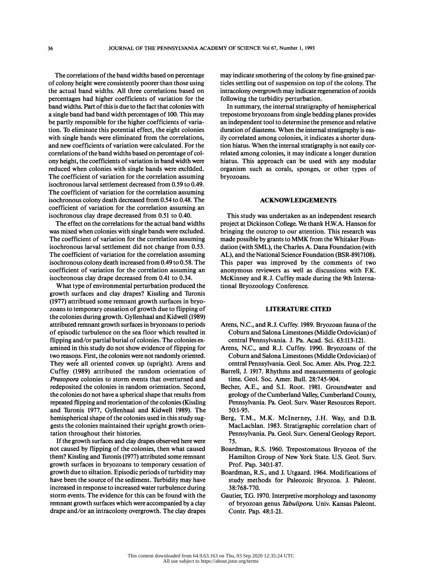The correlations of the band widths based on percentage of colony height were consistently poorer than those using the actual band widths. All three correlations based on percentages had higher coefficients of variation for the band widths. Part of this is due to the fact that colonies with a single band had band width percentages of 100. This may be partly responsible for the higher coefficients of varia tion. To eliminate this potential effect, the eight colonies with single bands were eliminated from the correlations, and new coefficients of variation were calculated. For the correlations of the band widths based on percentage of col ony height, the coefficients of variation in band width were reduced when colonies with single bands were excluded. The coefficient of variation for the correlation assuming isochronous larval settlement decreased from 0.59 to 0.49. The coefficient of variation for the correlation assuming isochronous colony death decreased from 0.54 to 0.48. The coefficient of variation for the correlation assuming an isochronous clay drape decreased from 0.51 to 0.40.

 The effect on the correlations for the actual band widths was mixed when colonies with single bands were excluded. The coefficient of variation for the correlation assuming isochronous larval settlement did not change from 0.53. The coefficient of variation for the correlation assuming isochronous colony death increased from 0.49 to 0.58. The coefficient of variation for the correlation assuming an isochronous clay drape decreased from 0.41 to 0.34.

 What type of environmental perturbation produced the growth surfaces and clay drapes? Kissling and Turonis (1977) attribtued some remnant growth surfaces in bryo zoans to temporary cessation of growth due to flipping of the colonies during growth. Gyllenhaal and Kidwell (1989) attributed remnant growth surfaces in bryozoans to periods of episodic turbulence on the sea floor which resulted in flipping and/or partial burial of colonies. The colonies ex amined in this study do not show evidence of flipping for two reasons. First, the colonies were not randomly oriented. They were all oriented convex up (upright). Arens and Cuffey (1989) attributed the random orientation of Prasopora colonies to storm events that overturned and redeposited the colonies in random orientation. Second, the colonies do not have a spherical shape that results from repeated flipping and reorientation of the colonies (Kissling and Turonis 1977, Gyllenhaal and Kidwell 1989). The hemispherical shape of the colonies used in this study sug gests the colonies maintained their upright growth orien tation throughout their histories.

 If the growth surfaces and clay drapes observed here were not caused by flipping of the colonies, then what caused them? Kissling and Turonis (1977) attributed some remnant growth surfaces in bryozoans to temporary cessation of growth due to siltation. Episodic periods of turbidity may have been the source of the sediment. Turbidity may have increased in response to increased water turbulence during storm events. The evidence for this can be found with the remnant growth surfaces which were accompanied by a clay drape and/or an intracolony overgrowth. The clay drapes

 may indicate smothering of the colony by fine-grained par ticles settling out of suspension on top of the colony. The intracolony overgrowth may indicate regeneration of zooids following the turbidity perturbation.

 In summary, the internal stratigraphy of hemispherical trepostome bryozoans from single bedding planes provides an independent tool to determine the presence and relative duration of diastems. When the internal stratigraphy is eas ily correlated among colonies, it indicates a shorter dura tion hiatus. When the internal stratigraphy is not easily cor related among colonies, it may indicate a longer duration hiatus. This approach can be used with any modular organism such as corals, sponges, or other types of bryozoans.

#### ACKNOWLEDGEMENTS

 This study was undertaken as an independent research project at Dickinson College. We thank H.W.A. Hanson for bringing the outcrop to our attention. This research was made possible by grants to MMK from the Whitaker Foun dation (with SML), the Charles A. Dana Foundation (with AL), and the National Science Foundation (BSR-8917108). This paper was improved by the comments of two anonymous reviewers as well as discussions with F.K. McKinney and R.J. Cuffey made during the 9th Interna tional Bryozoology Conference.

### LITERATURE CITED

- Arenš, N.C., and R.J. Cuffey. 1989. Bryozoan fauna of the Coburn and Salona Limestones (Middle Ordovician) of central Pennsylvania. J. Pa. Acad. Sci. 63:113-121.
- Arens, N.C., and R.J. Cuffey. 1990. Bryozoans of the Coburn and Salona Limestones (Middle Ordovician) of central Pennsylvania. Geol. Soc. Amer. Abs. Prog. 22:2.
- Barrell, J. 1917. Rhythms and measurements of geologic time. Geol. Soc. Amer. Bull. 28:745-904.
- Becher, A.E., and S.I. Root. 1981. Groundwater and geology of the Cumberland Valley, Cumberland County, Pennsylvania. Pa. Geol. Surv. Water Resources Report. 50:1-95.
- Berg, T.M., M.K. Mclnerney, J.H. Way, and D.B. MacLachlan. 1983. Stratigraphie correlation chart of Pennsylvania. Pa. Geol. Surv. General Geology Report. 75.
- Boardman, R.S. 1960. Trepostomatous Bryozoa of the Hamilton Group of New York State. U.S. Geol. Surv. Prof. Pap. 340:1-87.
- Boardman, R.S., and J. Utgaard. 1964. Modifications of study methods for Paleozoic Bryozoa. J. Paleont. 38:768-770.
- Gautier, T.G. 1970. Interpretive morphology and taxonomy of bryozoan genus Tabulipora. Univ. Kansas Paleont. Contr. Pap. 48:1-21.